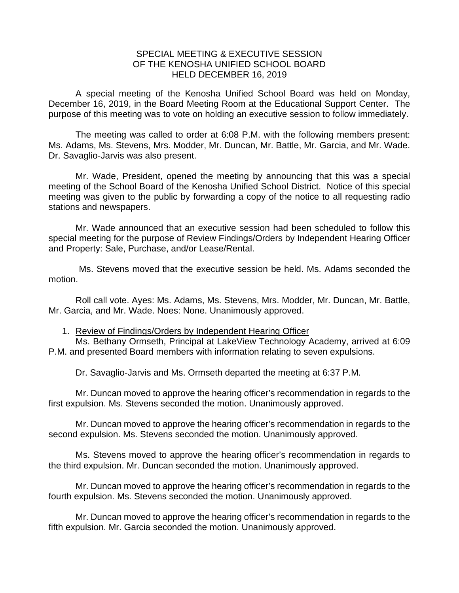## SPECIAL MEETING & EXECUTIVE SESSION OF THE KENOSHA UNIFIED SCHOOL BOARD HELD DECEMBER 16, 2019

A special meeting of the Kenosha Unified School Board was held on Monday, December 16, 2019, in the Board Meeting Room at the Educational Support Center. The purpose of this meeting was to vote on holding an executive session to follow immediately.

The meeting was called to order at 6:08 P.M. with the following members present: Ms. Adams, Ms. Stevens, Mrs. Modder, Mr. Duncan, Mr. Battle, Mr. Garcia, and Mr. Wade. Dr. Savaglio-Jarvis was also present.

Mr. Wade, President, opened the meeting by announcing that this was a special meeting of the School Board of the Kenosha Unified School District. Notice of this special meeting was given to the public by forwarding a copy of the notice to all requesting radio stations and newspapers.

Mr. Wade announced that an executive session had been scheduled to follow this special meeting for the purpose of Review Findings/Orders by Independent Hearing Officer and Property: Sale, Purchase, and/or Lease/Rental.

Ms. Stevens moved that the executive session be held. Ms. Adams seconded the motion.

Roll call vote. Ayes: Ms. Adams, Ms. Stevens, Mrs. Modder, Mr. Duncan, Mr. Battle, Mr. Garcia, and Mr. Wade. Noes: None. Unanimously approved.

## 1. Review of Findings/Orders by Independent Hearing Officer

Ms. Bethany Ormseth, Principal at LakeView Technology Academy, arrived at 6:09 P.M. and presented Board members with information relating to seven expulsions.

Dr. Savaglio-Jarvis and Ms. Ormseth departed the meeting at 6:37 P.M.

Mr. Duncan moved to approve the hearing officer's recommendation in regards to the first expulsion. Ms. Stevens seconded the motion. Unanimously approved.

Mr. Duncan moved to approve the hearing officer's recommendation in regards to the second expulsion. Ms. Stevens seconded the motion. Unanimously approved.

Ms. Stevens moved to approve the hearing officer's recommendation in regards to the third expulsion. Mr. Duncan seconded the motion. Unanimously approved.

Mr. Duncan moved to approve the hearing officer's recommendation in regards to the fourth expulsion. Ms. Stevens seconded the motion. Unanimously approved.

Mr. Duncan moved to approve the hearing officer's recommendation in regards to the fifth expulsion. Mr. Garcia seconded the motion. Unanimously approved.